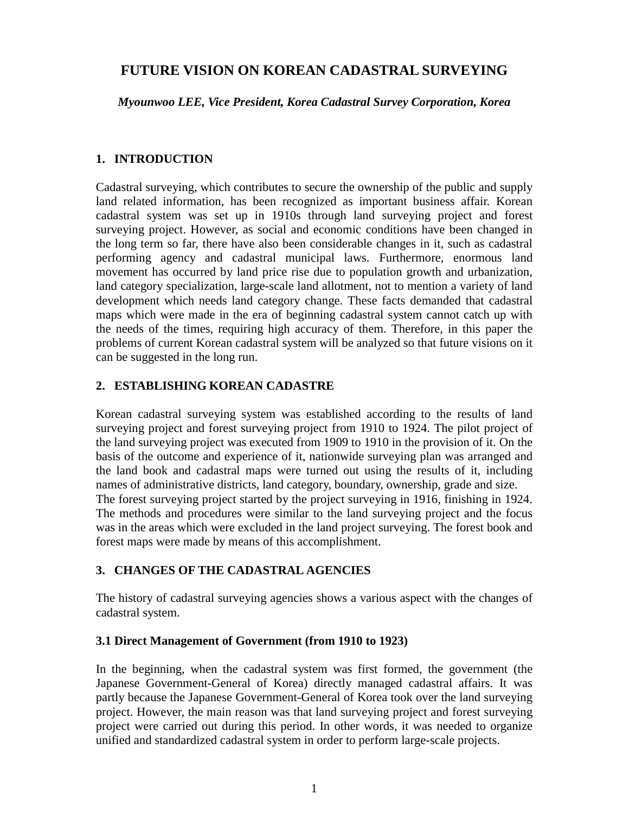# **FUTURE VISION ON KOREAN CADASTRAL SURVEYING**

*Myounwoo LEE, Vice President, Korea Cadastral Survey Corporation, Korea*

# **1. INTRODUCTION**

Cadastral surveying, which contributes to secure the ownership of the public and supply land related information, has been recognized as important business affair. Korean cadastral system was set up in 1910s through land surveying project and forest surveying project. However, as social and economic conditions have been changed in the long term so far, there have also been considerable changes in it, such as cadastral performing agency and cadastral municipal laws. Furthermore, enormous land movement has occurred by land price rise due to population growth and urbanization, land category specialization, large-scale land allotment, not to mention a variety of land development which needs land category change. These facts demanded that cadastral maps which were made in the era of beginning cadastral system cannot catch up with the needs of the times, requiring high accuracy of them. Therefore, in this paper the problems of current Korean cadastral system will be analyzed so that future visions on it can be suggested in the long run.

#### **2. ESTABLISHING KOREAN CADASTRE**

Korean cadastral surveying system was established according to the results of land surveying project and forest surveying project from 1910 to 1924. The pilot project of the land surveying project was executed from 1909 to 1910 in the provision of it. On the basis of the outcome and experience of it, nationwide surveying plan was arranged and the land book and cadastral maps were turned out using the results of it, including names of administrative districts, land category, boundary, ownership, grade and size. The forest surveying project started by the project surveying in 1916, finishing in 1924. The methods and procedures were similar to the land surveying project and the focus was in the areas which were excluded in the land project surveying. The forest book and forest maps were made by means of this accomplishment.

### **3. CHANGES OF THE CADASTRAL AGENCIES**

The history of cadastral surveying agencies shows a various aspect with the changes of cadastral system.

### **3.1 Direct Management of Government (from 1910 to 1923)**

In the beginning, when the cadastral system was first formed, the government (the Japanese Government-General of Korea) directly managed cadastral affairs. It was partly because the Japanese Government-General of Korea took over the land surveying project. However, the main reason was that land surveying project and forest surveying project were carried out during this period. In other words, it was needed to organize unified and standardized cadastral system in order to perform large-scale projects.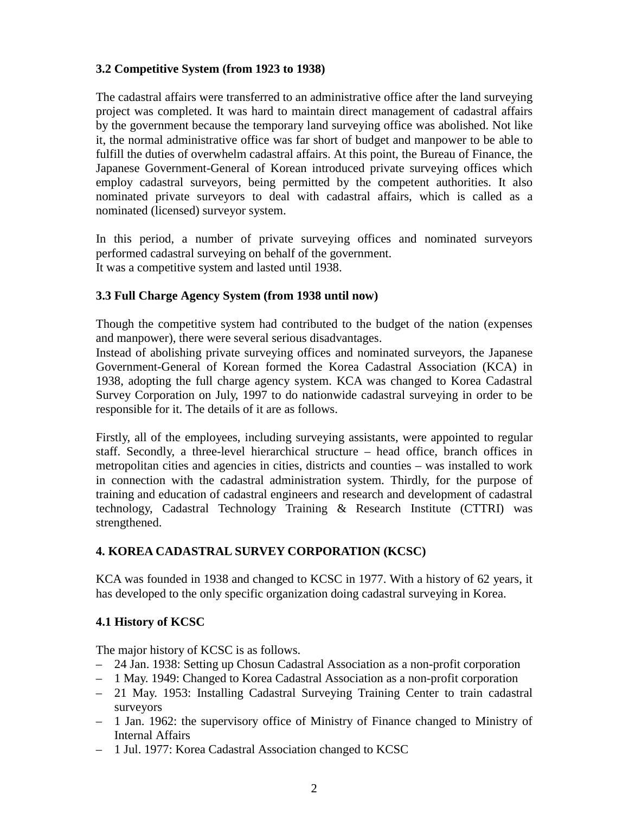### **3.2 Competitive System (from 1923 to 1938)**

The cadastral affairs were transferred to an administrative office after the land surveying project was completed. It was hard to maintain direct management of cadastral affairs by the government because the temporary land surveying office was abolished. Not like it, the normal administrative office was far short of budget and manpower to be able to fulfill the duties of overwhelm cadastral affairs. At this point, the Bureau of Finance, the Japanese Government-General of Korean introduced private surveying offices which employ cadastral surveyors, being permitted by the competent authorities. It also nominated private surveyors to deal with cadastral affairs, which is called as a nominated (licensed) surveyor system.

In this period, a number of private surveying offices and nominated surveyors performed cadastral surveying on behalf of the government. It was a competitive system and lasted until 1938.

#### **3.3 Full Charge Agency System (from 1938 until now)**

Though the competitive system had contributed to the budget of the nation (expenses and manpower), there were several serious disadvantages.

Instead of abolishing private surveying offices and nominated surveyors, the Japanese Government-General of Korean formed the Korea Cadastral Association (KCA) in 1938, adopting the full charge agency system. KCA was changed to Korea Cadastral Survey Corporation on July, 1997 to do nationwide cadastral surveying in order to be responsible for it. The details of it are as follows.

Firstly, all of the employees, including surveying assistants, were appointed to regular staff. Secondly, a three-level hierarchical structure – head office, branch offices in metropolitan cities and agencies in cities, districts and counties – was installed to work in connection with the cadastral administration system. Thirdly, for the purpose of training and education of cadastral engineers and research and development of cadastral technology, Cadastral Technology Training & Research Institute (CTTRI) was strengthened.

### **4. KOREA CADASTRAL SURVEY CORPORATION (KCSC)**

KCA was founded in 1938 and changed to KCSC in 1977. With a history of 62 years, it has developed to the only specific organization doing cadastral surveying in Korea.

### **4.1 History of KCSC**

The major history of KCSC is as follows.

- 24 Jan. 1938: Setting up Chosun Cadastral Association as a non-profit corporation
- 1 May. 1949: Changed to Korea Cadastral Association as a non-profit corporation
- 21 May. 1953: Installing Cadastral Surveying Training Center to train cadastral surveyors
- 1 Jan. 1962: the supervisory office of Ministry of Finance changed to Ministry of Internal Affairs
- 1 Jul. 1977: Korea Cadastral Association changed to KCSC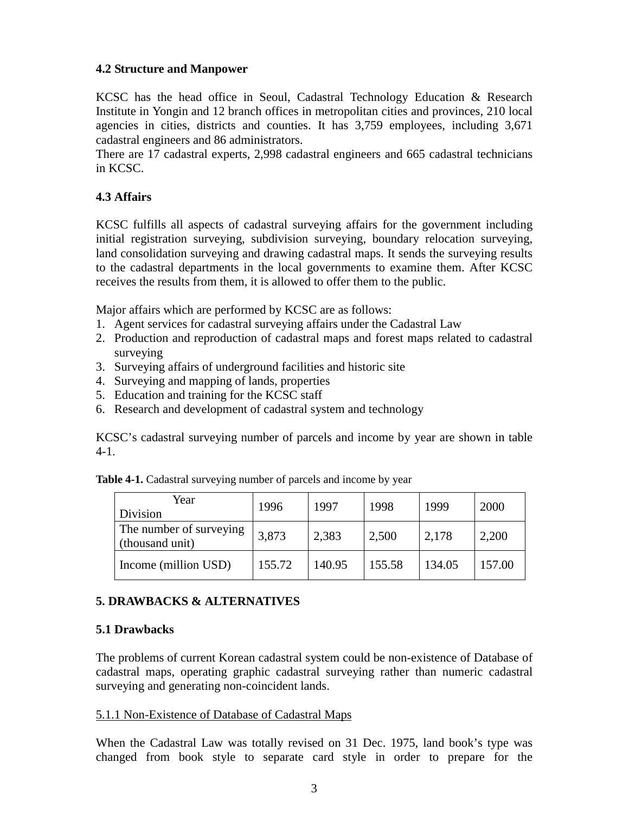#### **4.2 Structure and Manpower**

KCSC has the head office in Seoul, Cadastral Technology Education & Research Institute in Yongin and 12 branch offices in metropolitan cities and provinces, 210 local agencies in cities, districts and counties. It has 3,759 employees, including 3,671 cadastral engineers and 86 administrators.

There are 17 cadastral experts, 2,998 cadastral engineers and 665 cadastral technicians in KCSC.

# **4.3 Affairs**

KCSC fulfills all aspects of cadastral surveying affairs for the government including initial registration surveying, subdivision surveying, boundary relocation surveying, land consolidation surveying and drawing cadastral maps. It sends the surveying results to the cadastral departments in the local governments to examine them. After KCSC receives the results from them, it is allowed to offer them to the public.

Major affairs which are performed by KCSC are as follows:

- 1. Agent services for cadastral surveying affairs under the Cadastral Law
- 2. Production and reproduction of cadastral maps and forest maps related to cadastral surveying
- 3. Surveying affairs of underground facilities and historic site
- 4. Surveying and mapping of lands, properties
- 5. Education and training for the KCSC staff
- 6. Research and development of cadastral system and technology

KCSC's cadastral surveying number of parcels and income by year are shown in table 4-1.

| Year<br>Division                           | 1996   | 1997   | 1998   | 1999   | 2000   |
|--------------------------------------------|--------|--------|--------|--------|--------|
| The number of surveying<br>(thousand unit) | 3,873  | 2,383  | 2,500  | 2,178  | 2,200  |
| Income (million USD)                       | 155.72 | 140.95 | 155.58 | 134.05 | 157.00 |

**Table 4-1.** Cadastral surveying number of parcels and income by year

### **5. DRAWBACKS & ALTERNATIVES**

#### **5.1 Drawbacks**

The problems of current Korean cadastral system could be non-existence of Database of cadastral maps, operating graphic cadastral surveying rather than numeric cadastral surveying and generating non-coincident lands.

#### 5.1.1 Non-Existence of Database of Cadastral Maps

When the Cadastral Law was totally revised on 31 Dec. 1975, land book's type was changed from book style to separate card style in order to prepare for the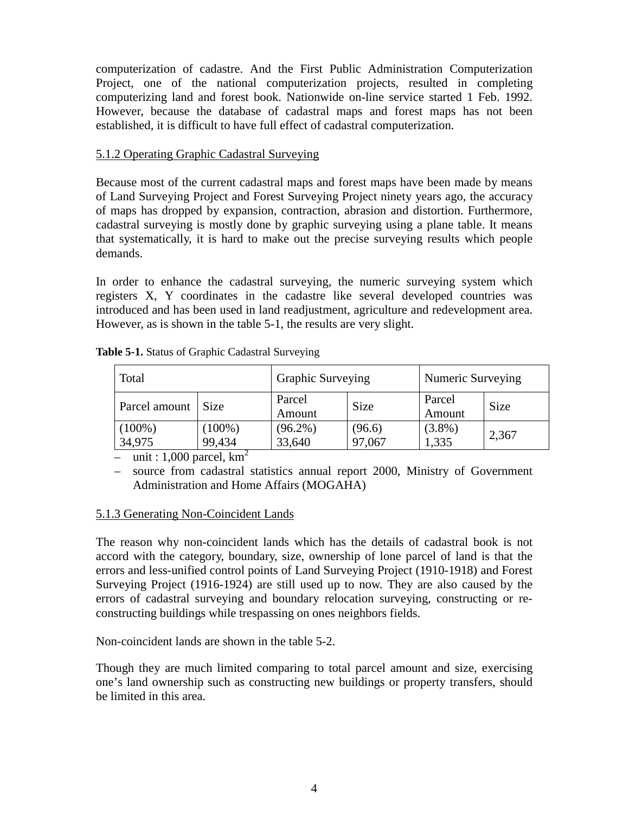computerization of cadastre. And the First Public Administration Computerization Project, one of the national computerization projects, resulted in completing computerizing land and forest book. Nationwide on-line service started 1 Feb. 1992. However, because the database of cadastral maps and forest maps has not been established, it is difficult to have full effect of cadastral computerization.

#### 5.1.2 Operating Graphic Cadastral Surveying

Because most of the current cadastral maps and forest maps have been made by means of Land Surveying Project and Forest Surveying Project ninety years ago, the accuracy of maps has dropped by expansion, contraction, abrasion and distortion. Furthermore, cadastral surveying is mostly done by graphic surveying using a plane table. It means that systematically, it is hard to make out the precise surveying results which people demands.

In order to enhance the cadastral surveying, the numeric surveying system which registers X, Y coordinates in the cadastre like several developed countries was introduced and has been used in land readjustment, agriculture and redevelopment area. However, as is shown in the table 5-1, the results are very slight.

| Total               |                     | <b>Graphic Surveying</b> |                  | Numeric Surveying |             |
|---------------------|---------------------|--------------------------|------------------|-------------------|-------------|
| Parcel amount       | <b>Size</b>         | Parcel<br>Amount         | <b>Size</b>      | Parcel<br>Amount  | <b>Size</b> |
| $(100\%)$<br>34,975 | $(100\%)$<br>99,434 | $(96.2\%)$<br>33,640     | (96.6)<br>97,067 | $(3.8\%)$<br>.335 | 2,367       |

**Table 5-1.** Status of Graphic Cadastral Surveying

– unit : 1,000 parcel,  $km^2$ 

– source from cadastral statistics annual report 2000, Ministry of Government Administration and Home Affairs (MOGAHA)

### 5.1.3 Generating Non-Coincident Lands

The reason why non-coincident lands which has the details of cadastral book is not accord with the category, boundary, size, ownership of lone parcel of land is that the errors and less-unified control points of Land Surveying Project (1910-1918) and Forest Surveying Project (1916-1924) are still used up to now. They are also caused by the errors of cadastral surveying and boundary relocation surveying, constructing or reconstructing buildings while trespassing on ones neighbors fields.

Non-coincident lands are shown in the table 5-2.

Though they are much limited comparing to total parcel amount and size, exercising one's land ownership such as constructing new buildings or property transfers, should be limited in this area.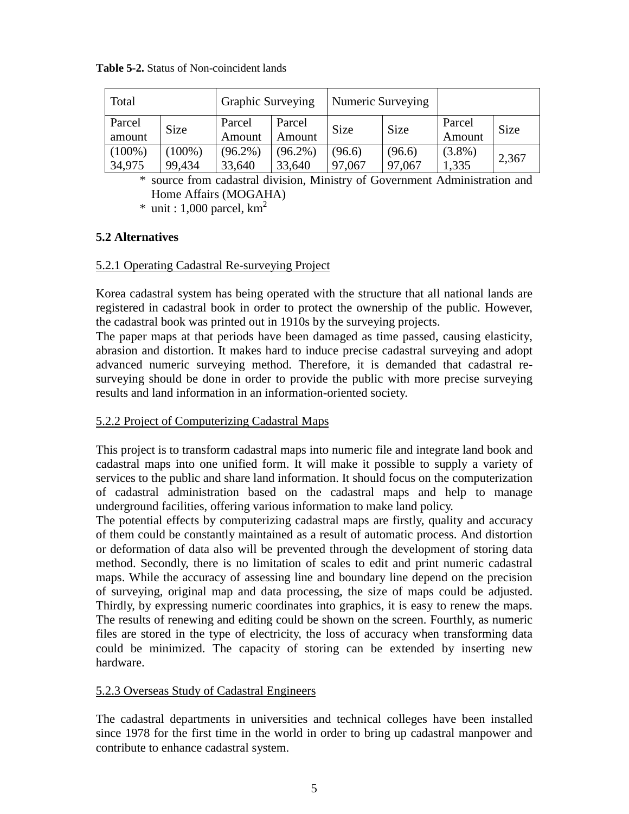| Total               |                     | <b>Graphic Surveying</b> |                      | Numeric Surveying |                  |                    |             |
|---------------------|---------------------|--------------------------|----------------------|-------------------|------------------|--------------------|-------------|
| Parcel<br>amount    | Size                | Parcel<br>Amount         | Parcel<br>Amount     | <b>Size</b>       | Size             | Parcel<br>Amount   | <b>Size</b> |
| $(100\%)$<br>34,975 | $(100\%)$<br>99,434 | $(96.2\%)$<br>33,640     | $(96.2\%)$<br>33,640 | (96.6)<br>97,067  | (96.6)<br>97,067 | $(3.8\%)$<br>1,335 | 2,367       |

**Table 5-2.** Status of Non-coincident lands

\* source from cadastral division, Ministry of Government Administration and Home Affairs (MOGAHA)

 $*$  unit : 1,000 parcel,  $km<sup>2</sup>$ 

# **5.2 Alternatives**

### 5.2.1 Operating Cadastral Re-surveying Project

Korea cadastral system has being operated with the structure that all national lands are registered in cadastral book in order to protect the ownership of the public. However, the cadastral book was printed out in 1910s by the surveying projects.

The paper maps at that periods have been damaged as time passed, causing elasticity, abrasion and distortion. It makes hard to induce precise cadastral surveying and adopt advanced numeric surveying method. Therefore, it is demanded that cadastral resurveying should be done in order to provide the public with more precise surveying results and land information in an information-oriented society.

### 5.2.2 Project of Computerizing Cadastral Maps

This project is to transform cadastral maps into numeric file and integrate land book and cadastral maps into one unified form. It will make it possible to supply a variety of services to the public and share land information. It should focus on the computerization of cadastral administration based on the cadastral maps and help to manage underground facilities, offering various information to make land policy.

The potential effects by computerizing cadastral maps are firstly, quality and accuracy of them could be constantly maintained as a result of automatic process. And distortion or deformation of data also will be prevented through the development of storing data method. Secondly, there is no limitation of scales to edit and print numeric cadastral maps. While the accuracy of assessing line and boundary line depend on the precision of surveying, original map and data processing, the size of maps could be adjusted. Thirdly, by expressing numeric coordinates into graphics, it is easy to renew the maps. The results of renewing and editing could be shown on the screen. Fourthly, as numeric files are stored in the type of electricity, the loss of accuracy when transforming data could be minimized. The capacity of storing can be extended by inserting new hardware.

### 5.2.3 Overseas Study of Cadastral Engineers

The cadastral departments in universities and technical colleges have been installed since 1978 for the first time in the world in order to bring up cadastral manpower and contribute to enhance cadastral system.